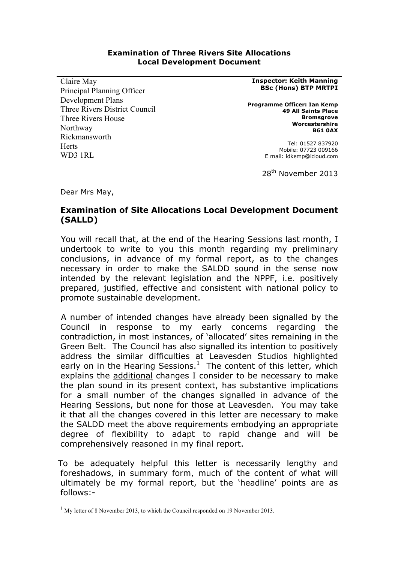#### **Examination of Three Rivers Site Allocations Local Development Document**

Claire May Principal Planning Officer Development Plans Three Rivers District Council Three Rivers House Northway Rickmansworth **Herts** WD3 1RL

**Inspector: Keith Manning BSc (Hons) BTP MRTPI**

**Programme Officer: Ian Kemp 49 All Saints Place Bromsgrove Worcestershire B61 0AX**

> Tel: 01527 837920 Mobile: 07723 009166 E mail: idkemp@icloud.com

28th November 2013

Dear Mrs May,

# **Examination of Site Allocations Local Development Document (SALLD)**

You will recall that, at the end of the Hearing Sessions last month, I undertook to write to you this month regarding my preliminary conclusions, in advance of my formal report, as to the changes necessary in order to make the SALDD sound in the sense now intended by the relevant legislation and the NPPF, i.e. positively prepared, justified, effective and consistent with national policy to promote sustainable development.

A number of intended changes have already been signalled by the Council in response to my early concerns regarding the contradiction, in most instances, of 'allocated' sites remaining in the Green Belt. The Council has also signalled its intention to positively address the similar difficulties at Leavesden Studios highlighted early on in the Hearing Sessions. $<sup>1</sup>$  The content of this letter, which</sup> explains the additional changes I consider to be necessary to make the plan sound in its present context, has substantive implications for a small number of the changes signalled in advance of the Hearing Sessions, but none for those at Leavesden. You may take it that all the changes covered in this letter are necessary to make the SALDD meet the above requirements embodying an appropriate degree of flexibility to adapt to rapid change and will be comprehensively reasoned in my final report.

To be adequately helpful this letter is necessarily lengthy and foreshadows, in summary form, much of the content of what will ultimately be my formal report, but the 'headline' points are as follows:-

 $1$  My letter of 8 November 2013, to which the Council responded on 19 November 2013.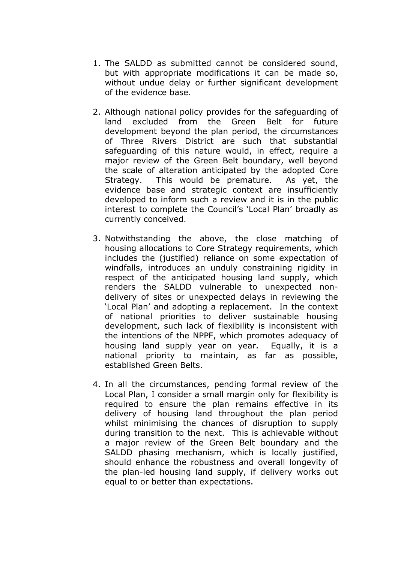- 1. The SALDD as submitted cannot be considered sound, but with appropriate modifications it can be made so, without undue delay or further significant development of the evidence base.
- 2. Although national policy provides for the safeguarding of land excluded from the Green Belt for future development beyond the plan period, the circumstances of Three Rivers District are such that substantial safeguarding of this nature would, in effect, require a major review of the Green Belt boundary, well beyond the scale of alteration anticipated by the adopted Core Strategy. This would be premature. As yet, the evidence base and strategic context are insufficiently developed to inform such a review and it is in the public interest to complete the Council's 'Local Plan' broadly as currently conceived.
- 3. Notwithstanding the above, the close matching of housing allocations to Core Strategy requirements, which includes the (justified) reliance on some expectation of windfalls, introduces an unduly constraining rigidity in respect of the anticipated housing land supply, which renders the SALDD vulnerable to unexpected nondelivery of sites or unexpected delays in reviewing the 'Local Plan' and adopting a replacement. In the context of national priorities to deliver sustainable housing development, such lack of flexibility is inconsistent with the intentions of the NPPF, which promotes adequacy of housing land supply year on year. Equally, it is a national priority to maintain, as far as possible, established Green Belts.
- 4. In all the circumstances, pending formal review of the Local Plan, I consider a small margin only for flexibility is required to ensure the plan remains effective in its delivery of housing land throughout the plan period whilst minimising the chances of disruption to supply during transition to the next. This is achievable without a major review of the Green Belt boundary and the SALDD phasing mechanism, which is locally justified, should enhance the robustness and overall longevity of the plan-led housing land supply, if delivery works out equal to or better than expectations.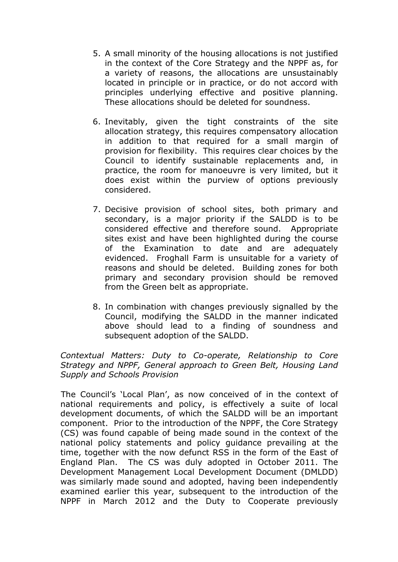- 5. A small minority of the housing allocations is not justified in the context of the Core Strategy and the NPPF as, for a variety of reasons, the allocations are unsustainably located in principle or in practice, or do not accord with principles underlying effective and positive planning. These allocations should be deleted for soundness.
- 6. Inevitably, given the tight constraints of the site allocation strategy, this requires compensatory allocation in addition to that required for a small margin of provision for flexibility. This requires clear choices by the Council to identify sustainable replacements and, in practice, the room for manoeuvre is very limited, but it does exist within the purview of options previously considered.
- 7. Decisive provision of school sites, both primary and secondary, is a major priority if the SALDD is to be considered effective and therefore sound. Appropriate sites exist and have been highlighted during the course of the Examination to date and are adequately evidenced. Froghall Farm is unsuitable for a variety of reasons and should be deleted. Building zones for both primary and secondary provision should be removed from the Green belt as appropriate.
- 8. In combination with changes previously signalled by the Council, modifying the SALDD in the manner indicated above should lead to a finding of soundness and subsequent adoption of the SALDD.

# *Contextual Matters: Duty to Co-operate, Relationship to Core Strategy and NPPF, General approach to Green Belt, Housing Land Supply and Schools Provision*

The Council's 'Local Plan', as now conceived of in the context of national requirements and policy, is effectively a suite of local development documents, of which the SALDD will be an important component. Prior to the introduction of the NPPF, the Core Strategy (CS) was found capable of being made sound in the context of the national policy statements and policy guidance prevailing at the time, together with the now defunct RSS in the form of the East of England Plan. The CS was duly adopted in October 2011. The Development Management Local Development Document (DMLDD) was similarly made sound and adopted, having been independently examined earlier this year, subsequent to the introduction of the NPPF in March 2012 and the Duty to Cooperate previously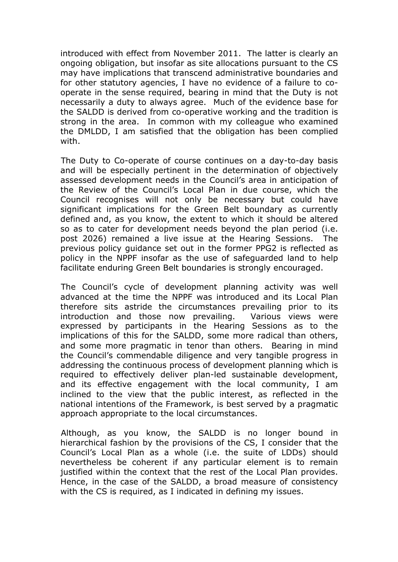introduced with effect from November 2011. The latter is clearly an ongoing obligation, but insofar as site allocations pursuant to the CS may have implications that transcend administrative boundaries and for other statutory agencies, I have no evidence of a failure to cooperate in the sense required, bearing in mind that the Duty is not necessarily a duty to always agree. Much of the evidence base for the SALDD is derived from co-operative working and the tradition is strong in the area. In common with my colleague who examined the DMLDD, I am satisfied that the obligation has been complied with.

The Duty to Co-operate of course continues on a day-to-day basis and will be especially pertinent in the determination of objectively assessed development needs in the Council's area in anticipation of the Review of the Council's Local Plan in due course, which the Council recognises will not only be necessary but could have significant implications for the Green Belt boundary as currently defined and, as you know, the extent to which it should be altered so as to cater for development needs beyond the plan period (i.e. post 2026) remained a live issue at the Hearing Sessions. The previous policy guidance set out in the former PPG2 is reflected as policy in the NPPF insofar as the use of safeguarded land to help facilitate enduring Green Belt boundaries is strongly encouraged.

The Council's cycle of development planning activity was well advanced at the time the NPPF was introduced and its Local Plan therefore sits astride the circumstances prevailing prior to its introduction and those now prevailing. Various views were expressed by participants in the Hearing Sessions as to the implications of this for the SALDD, some more radical than others, and some more pragmatic in tenor than others. Bearing in mind the Council's commendable diligence and very tangible progress in addressing the continuous process of development planning which is required to effectively deliver plan-led sustainable development, and its effective engagement with the local community, I am inclined to the view that the public interest, as reflected in the national intentions of the Framework, is best served by a pragmatic approach appropriate to the local circumstances.

Although, as you know, the SALDD is no longer bound in hierarchical fashion by the provisions of the CS, I consider that the Council's Local Plan as a whole (i.e. the suite of LDDs) should nevertheless be coherent if any particular element is to remain justified within the context that the rest of the Local Plan provides. Hence, in the case of the SALDD, a broad measure of consistency with the CS is required, as I indicated in defining my issues.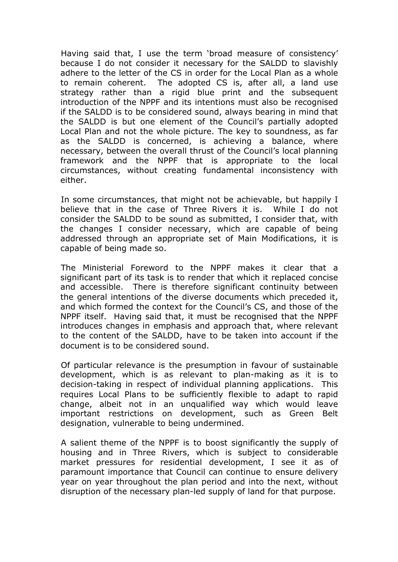Having said that, I use the term 'broad measure of consistency' because I do not consider it necessary for the SALDD to slavishly adhere to the letter of the CS in order for the Local Plan as a whole to remain coherent. The adopted CS is, after all, a land use strategy rather than a rigid blue print and the subsequent introduction of the NPPF and its intentions must also be recognised if the SALDD is to be considered sound, always bearing in mind that the SALDD is but one element of the Council's partially adopted Local Plan and not the whole picture. The key to soundness, as far as the SALDD is concerned, is achieving a balance, where necessary, between the overall thrust of the Council's local planning framework and the NPPF that is appropriate to the local circumstances, without creating fundamental inconsistency with either.

In some circumstances, that might not be achievable, but happily I believe that in the case of Three Rivers it is. While I do not consider the SALDD to be sound as submitted, I consider that, with the changes I consider necessary, which are capable of being addressed through an appropriate set of Main Modifications, it is capable of being made so.

The Ministerial Foreword to the NPPF makes it clear that a significant part of its task is to render that which it replaced concise and accessible. There is therefore significant continuity between the general intentions of the diverse documents which preceded it, and which formed the context for the Council's CS, and those of the NPPF itself. Having said that, it must be recognised that the NPPF introduces changes in emphasis and approach that, where relevant to the content of the SALDD, have to be taken into account if the document is to be considered sound.

Of particular relevance is the presumption in favour of sustainable development, which is as relevant to plan-making as it is to decision-taking in respect of individual planning applications. This requires Local Plans to be sufficiently flexible to adapt to rapid change, albeit not in an unqualified way which would leave important restrictions on development, such as Green Belt designation, vulnerable to being undermined.

A salient theme of the NPPF is to boost significantly the supply of housing and in Three Rivers, which is subject to considerable market pressures for residential development, I see it as of paramount importance that Council can continue to ensure delivery year on year throughout the plan period and into the next, without disruption of the necessary plan-led supply of land for that purpose.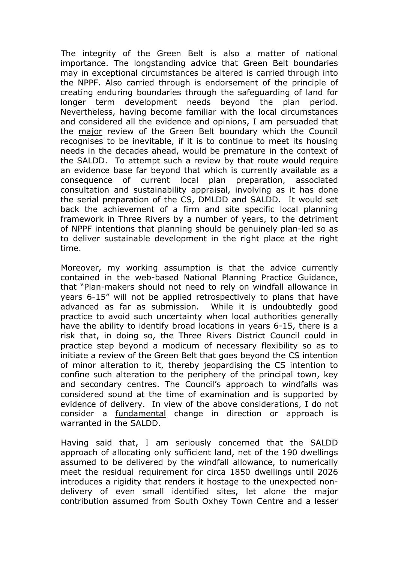The integrity of the Green Belt is also a matter of national importance. The longstanding advice that Green Belt boundaries may in exceptional circumstances be altered is carried through into the NPPF. Also carried through is endorsement of the principle of creating enduring boundaries through the safeguarding of land for longer term development needs beyond the plan period. Nevertheless, having become familiar with the local circumstances and considered all the evidence and opinions, I am persuaded that the major review of the Green Belt boundary which the Council recognises to be inevitable, if it is to continue to meet its housing needs in the decades ahead, would be premature in the context of the SALDD. To attempt such a review by that route would require an evidence base far beyond that which is currently available as a consequence of current local plan preparation, associated consultation and sustainability appraisal, involving as it has done the serial preparation of the CS, DMLDD and SALDD. It would set back the achievement of a firm and site specific local planning framework in Three Rivers by a number of years, to the detriment of NPPF intentions that planning should be genuinely plan-led so as to deliver sustainable development in the right place at the right time.

Moreover, my working assumption is that the advice currently contained in the web-based National Planning Practice Guidance, that "Plan-makers should not need to rely on windfall allowance in years 6-15" will not be applied retrospectively to plans that have advanced as far as submission. While it is undoubtedly good practice to avoid such uncertainty when local authorities generally have the ability to identify broad locations in years 6-15, there is a risk that, in doing so, the Three Rivers District Council could in practice step beyond a modicum of necessary flexibility so as to initiate a review of the Green Belt that goes beyond the CS intention of minor alteration to it, thereby jeopardising the CS intention to confine such alteration to the periphery of the principal town, key and secondary centres. The Council's approach to windfalls was considered sound at the time of examination and is supported by evidence of delivery. In view of the above considerations, I do not consider a fundamental change in direction or approach is warranted in the SALDD.

Having said that, I am seriously concerned that the SALDD approach of allocating only sufficient land, net of the 190 dwellings assumed to be delivered by the windfall allowance, to numerically meet the residual requirement for circa 1850 dwellings until 2026 introduces a rigidity that renders it hostage to the unexpected nondelivery of even small identified sites, let alone the major contribution assumed from South Oxhey Town Centre and a lesser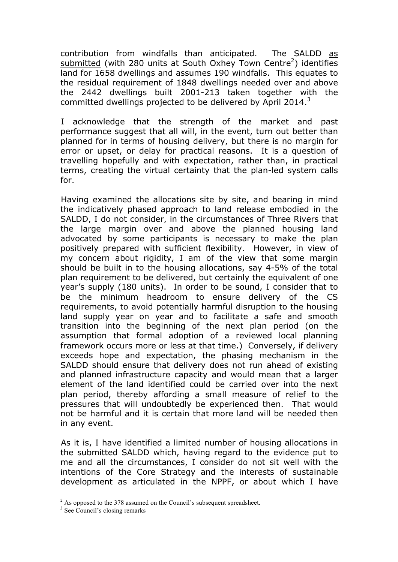contribution from windfalls than anticipated. The SALDD as submitted (with 280 units at South Oxhey Town Centre<sup>2</sup>) identifies land for 1658 dwellings and assumes 190 windfalls. This equates to the residual requirement of 1848 dwellings needed over and above the 2442 dwellings built 2001-213 taken together with the committed dwellings projected to be delivered by April 2014. $^3$ 

I acknowledge that the strength of the market and past performance suggest that all will, in the event, turn out better than planned for in terms of housing delivery, but there is no margin for error or upset, or delay for practical reasons. It is a question of travelling hopefully and with expectation, rather than, in practical terms, creating the virtual certainty that the plan-led system calls for.

Having examined the allocations site by site, and bearing in mind the indicatively phased approach to land release embodied in the SALDD, I do not consider, in the circumstances of Three Rivers that the large margin over and above the planned housing land advocated by some participants is necessary to make the plan positively prepared with sufficient flexibility. However, in view of my concern about rigidity, I am of the view that some margin should be built in to the housing allocations, say 4-5% of the total plan requirement to be delivered, but certainly the equivalent of one year's supply (180 units). In order to be sound, I consider that to be the minimum headroom to ensure delivery of the CS requirements, to avoid potentially harmful disruption to the housing land supply year on year and to facilitate a safe and smooth transition into the beginning of the next plan period (on the assumption that formal adoption of a reviewed local planning framework occurs more or less at that time.) Conversely, if delivery exceeds hope and expectation, the phasing mechanism in the SALDD should ensure that delivery does not run ahead of existing and planned infrastructure capacity and would mean that a larger element of the land identified could be carried over into the next plan period, thereby affording a small measure of relief to the pressures that will undoubtedly be experienced then. That would not be harmful and it is certain that more land will be needed then in any event.

As it is, I have identified a limited number of housing allocations in the submitted SALDD which, having regard to the evidence put to me and all the circumstances, I consider do not sit well with the intentions of the Core Strategy and the interests of sustainable development as articulated in the NPPF, or about which I have

<sup>&</sup>lt;sup>2</sup> As opposed to the 378 assumed on the Council's subsequent spreadsheet.

<sup>&</sup>lt;sup>3</sup> See Council's closing remarks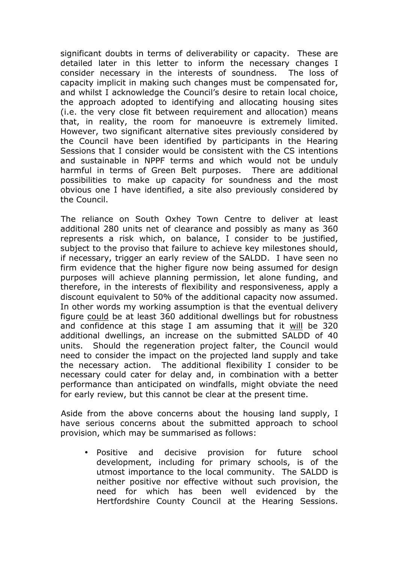significant doubts in terms of deliverability or capacity. These are detailed later in this letter to inform the necessary changes I consider necessary in the interests of soundness. The loss of capacity implicit in making such changes must be compensated for, and whilst I acknowledge the Council's desire to retain local choice, the approach adopted to identifying and allocating housing sites (i.e. the very close fit between requirement and allocation) means that, in reality, the room for manoeuvre is extremely limited. However, two significant alternative sites previously considered by the Council have been identified by participants in the Hearing Sessions that I consider would be consistent with the CS intentions and sustainable in NPPF terms and which would not be unduly harmful in terms of Green Belt purposes. There are additional possibilities to make up capacity for soundness and the most obvious one I have identified, a site also previously considered by the Council.

The reliance on South Oxhey Town Centre to deliver at least additional 280 units net of clearance and possibly as many as 360 represents a risk which, on balance, I consider to be justified, subject to the proviso that failure to achieve key milestones should, if necessary, trigger an early review of the SALDD. I have seen no firm evidence that the higher figure now being assumed for design purposes will achieve planning permission, let alone funding, and therefore, in the interests of flexibility and responsiveness, apply a discount equivalent to 50% of the additional capacity now assumed. In other words my working assumption is that the eventual delivery figure could be at least 360 additional dwellings but for robustness and confidence at this stage I am assuming that it will be 320 additional dwellings, an increase on the submitted SALDD of 40 units. Should the regeneration project falter, the Council would need to consider the impact on the projected land supply and take the necessary action. The additional flexibility I consider to be necessary could cater for delay and, in combination with a better performance than anticipated on windfalls, might obviate the need for early review, but this cannot be clear at the present time.

Aside from the above concerns about the housing land supply, I have serious concerns about the submitted approach to school provision, which may be summarised as follows:

• Positive and decisive provision for future school development, including for primary schools, is of the utmost importance to the local community. The SALDD is neither positive nor effective without such provision, the need for which has been well evidenced by the Hertfordshire County Council at the Hearing Sessions.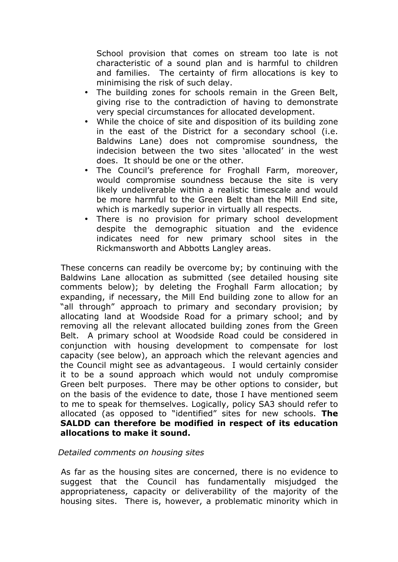School provision that comes on stream too late is not characteristic of a sound plan and is harmful to children and families. The certainty of firm allocations is key to minimising the risk of such delay.

- The building zones for schools remain in the Green Belt, giving rise to the contradiction of having to demonstrate very special circumstances for allocated development.
- While the choice of site and disposition of its building zone in the east of the District for a secondary school (i.e. Baldwins Lane) does not compromise soundness, the indecision between the two sites 'allocated' in the west does. It should be one or the other.
- The Council's preference for Froghall Farm, moreover, would compromise soundness because the site is very likely undeliverable within a realistic timescale and would be more harmful to the Green Belt than the Mill End site, which is markedly superior in virtually all respects.
- There is no provision for primary school development despite the demographic situation and the evidence indicates need for new primary school sites in the Rickmansworth and Abbotts Langley areas.

These concerns can readily be overcome by; by continuing with the Baldwins Lane allocation as submitted (see detailed housing site comments below); by deleting the Froghall Farm allocation; by expanding, if necessary, the Mill End building zone to allow for an "all through" approach to primary and secondary provision; by allocating land at Woodside Road for a primary school; and by removing all the relevant allocated building zones from the Green Belt. A primary school at Woodside Road could be considered in conjunction with housing development to compensate for lost capacity (see below), an approach which the relevant agencies and the Council might see as advantageous. I would certainly consider it to be a sound approach which would not unduly compromise Green belt purposes. There may be other options to consider, but on the basis of the evidence to date, those I have mentioned seem to me to speak for themselves. Logically, policy SA3 should refer to allocated (as opposed to "identified" sites for new schools. **The SALDD can therefore be modified in respect of its education allocations to make it sound.**

### *Detailed comments on housing sites*

As far as the housing sites are concerned, there is no evidence to suggest that the Council has fundamentally misjudged the appropriateness, capacity or deliverability of the majority of the housing sites. There is, however, a problematic minority which in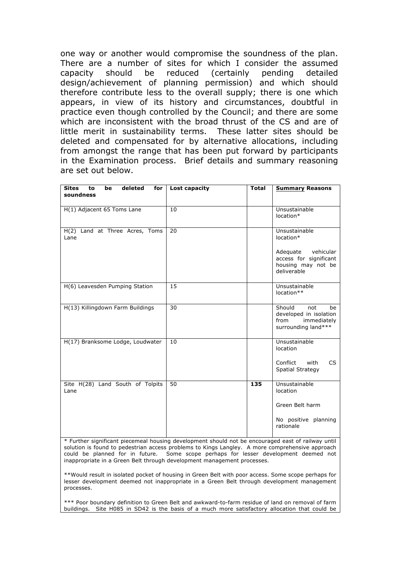one way or another would compromise the soundness of the plan. There are a number of sites for which I consider the assumed capacity should be reduced (certainly pending detailed design/achievement of planning permission) and which should therefore contribute less to the overall supply; there is one which appears, in view of its history and circumstances, doubtful in practice even though controlled by the Council; and there are some which are inconsistent with the broad thrust of the CS and are of little merit in sustainability terms. These latter sites should be deleted and compensated for by alternative allocations, including from amongst the range that has been put forward by participants in the Examination process. Brief details and summary reasoning are set out below.

| deleted<br><b>Sites</b><br>for<br>to<br>be<br>soundness | Lost capacity | <b>Total</b> | <b>Summary Reasons</b>                                                                      |
|---------------------------------------------------------|---------------|--------------|---------------------------------------------------------------------------------------------|
| H(1) Adjacent 65 Toms Lane                              | 10            |              | Unsustainable<br>location*                                                                  |
| H(2) Land at Three Acres, Toms<br>Lane                  | 20            |              | Unsustainable<br>location*                                                                  |
|                                                         |               |              | Adequate<br>vehicular<br>access for significant<br>housing may not be<br>deliverable        |
| H(6) Leavesden Pumping Station                          | 15            |              | Unsustainable<br>location**                                                                 |
| H(13) Killingdown Farm Buildings                        | 30            |              | Should<br>not<br>be<br>developed in isolation<br>from<br>immediately<br>surrounding land*** |
| H(17) Branksome Lodge, Loudwater                        | 10            |              | Unsustainable<br>location                                                                   |
|                                                         |               |              | Conflict<br>with<br>CS.<br><b>Spatial Strategy</b>                                          |
| Site H(28) Land South of Tolpits<br>Lane                | 50            | 135          | Unsustainable<br>location                                                                   |
|                                                         |               |              | Green Belt harm                                                                             |
|                                                         |               |              | No positive planning<br>rationale                                                           |

\* Further significant piecemeal housing development should not be encouraged east of railway until solution is found to pedestrian access problems to Kings Langley. A more comprehensive approach could be planned for in future. Some scope perhaps for lesser development deemed not inappropriate in a Green Belt through development management processes.

\*\*Would result in isolated pocket of housing in Green Belt with poor access. Some scope perhaps for lesser development deemed not inappropriate in a Green Belt through development management processes.

\*\*\* Poor boundary definition to Green Belt and awkward-to-farm residue of land on removal of farm buildings. Site H085 in SD42 is the basis of a much more satisfactory allocation that could be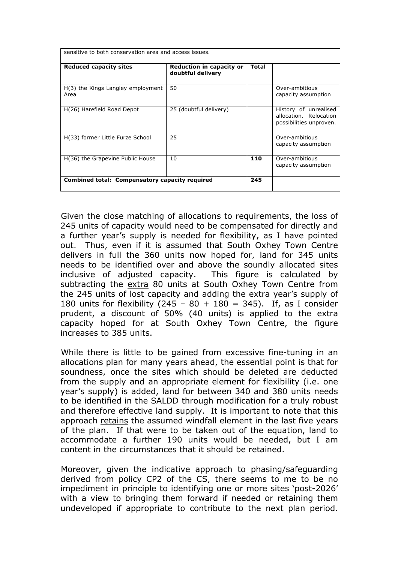| sensitive to both conservation area and access issues. |                                                      |              |                                                                            |  |
|--------------------------------------------------------|------------------------------------------------------|--------------|----------------------------------------------------------------------------|--|
| <b>Reduced capacity sites</b>                          | <b>Reduction in capacity or</b><br>doubtful delivery | <b>Total</b> |                                                                            |  |
| H(3) the Kings Langley employment<br>Area              | 50                                                   |              | Over-ambitious<br>capacity assumption                                      |  |
| H(26) Harefield Road Depot                             | 25 (doubtful delivery)                               |              | History of unrealised<br>allocation. Relocation<br>possibilities unproven. |  |
| H(33) former Little Furze School                       | 25                                                   |              | Over-ambitious<br>capacity assumption                                      |  |
| H(36) the Grapevine Public House                       | 10                                                   | 110          | Over-ambitious<br>capacity assumption                                      |  |
| Combined total: Compensatory capacity required         |                                                      | 245          |                                                                            |  |

Given the close matching of allocations to requirements, the loss of 245 units of capacity would need to be compensated for directly and a further year's supply is needed for flexibility, as I have pointed out. Thus, even if it is assumed that South Oxhey Town Centre delivers in full the 360 units now hoped for, land for 345 units needs to be identified over and above the soundly allocated sites inclusive of adjusted capacity. This figure is calculated by subtracting the extra 80 units at South Oxhey Town Centre from the 245 units of lost capacity and adding the extra year's supply of 180 units for flexibility (245 – 80 + 180 = 345). If, as I consider prudent, a discount of 50% (40 units) is applied to the extra capacity hoped for at South Oxhey Town Centre, the figure increases to 385 units.

While there is little to be gained from excessive fine-tuning in an allocations plan for many years ahead, the essential point is that for soundness, once the sites which should be deleted are deducted from the supply and an appropriate element for flexibility (i.e. one year's supply) is added, land for between 340 and 380 units needs to be identified in the SALDD through modification for a truly robust and therefore effective land supply. It is important to note that this approach retains the assumed windfall element in the last five years of the plan. If that were to be taken out of the equation, land to accommodate a further 190 units would be needed, but I am content in the circumstances that it should be retained.

Moreover, given the indicative approach to phasing/safeguarding derived from policy CP2 of the CS, there seems to me to be no impediment in principle to identifying one or more sites 'post-2026' with a view to bringing them forward if needed or retaining them undeveloped if appropriate to contribute to the next plan period.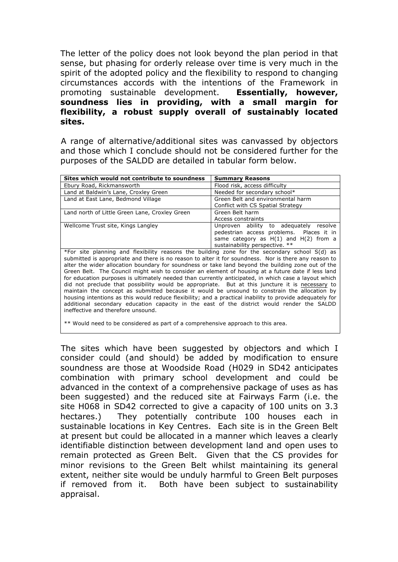The letter of the policy does not look beyond the plan period in that sense, but phasing for orderly release over time is very much in the spirit of the adopted policy and the flexibility to respond to changing circumstances accords with the intentions of the Framework in promoting sustainable development. **Essentially, however, soundness lies in providing, with a small margin for flexibility, a robust supply overall of sustainably located sites.**

A range of alternative/additional sites was canvassed by objectors and those which I conclude should not be considered further for the purposes of the SALDD are detailed in tabular form below.

| Sites which would not contribute to soundness                                                                                                                                                                                                                                                                                                                                                                                                                                                                                                                                                                                                                                                                                                                                                                                             | <b>Summary Reasons</b>                                                                                                                                            |  |  |
|-------------------------------------------------------------------------------------------------------------------------------------------------------------------------------------------------------------------------------------------------------------------------------------------------------------------------------------------------------------------------------------------------------------------------------------------------------------------------------------------------------------------------------------------------------------------------------------------------------------------------------------------------------------------------------------------------------------------------------------------------------------------------------------------------------------------------------------------|-------------------------------------------------------------------------------------------------------------------------------------------------------------------|--|--|
| Ebury Road, Rickmansworth                                                                                                                                                                                                                                                                                                                                                                                                                                                                                                                                                                                                                                                                                                                                                                                                                 | Flood risk, access difficulty                                                                                                                                     |  |  |
| Land at Baldwin's Lane, Croxley Green                                                                                                                                                                                                                                                                                                                                                                                                                                                                                                                                                                                                                                                                                                                                                                                                     | Needed for secondary school*                                                                                                                                      |  |  |
| Land at East Lane, Bedmond Village                                                                                                                                                                                                                                                                                                                                                                                                                                                                                                                                                                                                                                                                                                                                                                                                        | Green Belt and environmental harm<br>Conflict with CS Spatial Strategy                                                                                            |  |  |
| Land north of Little Green Lane, Croxley Green                                                                                                                                                                                                                                                                                                                                                                                                                                                                                                                                                                                                                                                                                                                                                                                            | Green Belt harm<br>Access constraints                                                                                                                             |  |  |
| Wellcome Trust site, Kings Langley                                                                                                                                                                                                                                                                                                                                                                                                                                                                                                                                                                                                                                                                                                                                                                                                        | Unproven ability to adequately resolve<br>pedestrian access problems. Places it in<br>same category as $H(1)$ and $H(2)$ from a<br>sustainability perspective. ** |  |  |
| *For site planning and flexibility reasons the building zone for the secondary school S(d) as<br>submitted is appropriate and there is no reason to alter it for soundness. Nor is there any reason to<br>alter the wider allocation boundary for soundness or take land beyond the building zone out of the<br>Green Belt. The Council might wish to consider an element of housing at a future date if less land<br>for education purposes is ultimately needed than currently anticipated, in which case a layout which<br>did not preclude that possibility would be appropriate. But at this juncture it is necessary to<br>maintain the concept as submitted because it would be unsound to constrain the allocation by<br>housing intentions as this would reduce flexibility; and a practical inability to provide adequately for |                                                                                                                                                                   |  |  |

additional secondary education capacity in the east of the district would render the SALDD

\*\* Would need to be considered as part of a comprehensive approach to this area.

ineffective and therefore unsound.

The sites which have been suggested by objectors and which I consider could (and should) be added by modification to ensure soundness are those at Woodside Road (H029 in SD42 anticipates combination with primary school development and could be advanced in the context of a comprehensive package of uses as has been suggested) and the reduced site at Fairways Farm (i.e. the site H068 in SD42 corrected to give a capacity of 100 units on 3.3 hectares.) They potentially contribute 100 houses each in sustainable locations in Key Centres. Each site is in the Green Belt at present but could be allocated in a manner which leaves a clearly identifiable distinction between development land and open uses to remain protected as Green Belt. Given that the CS provides for minor revisions to the Green Belt whilst maintaining its general extent, neither site would be unduly harmful to Green Belt purposes if removed from it. Both have been subject to sustainability appraisal.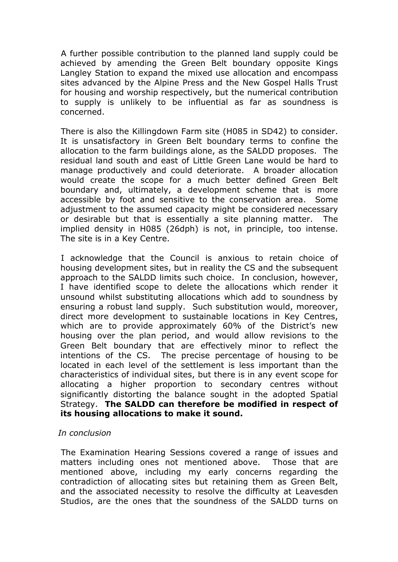A further possible contribution to the planned land supply could be achieved by amending the Green Belt boundary opposite Kings Langley Station to expand the mixed use allocation and encompass sites advanced by the Alpine Press and the New Gospel Halls Trust for housing and worship respectively, but the numerical contribution to supply is unlikely to be influential as far as soundness is concerned.

There is also the Killingdown Farm site (H085 in SD42) to consider. It is unsatisfactory in Green Belt boundary terms to confine the allocation to the farm buildings alone, as the SALDD proposes. The residual land south and east of Little Green Lane would be hard to manage productively and could deteriorate. A broader allocation would create the scope for a much better defined Green Belt boundary and, ultimately, a development scheme that is more accessible by foot and sensitive to the conservation area. Some adjustment to the assumed capacity might be considered necessary or desirable but that is essentially a site planning matter. The implied density in H085 (26dph) is not, in principle, too intense. The site is in a Key Centre.

I acknowledge that the Council is anxious to retain choice of housing development sites, but in reality the CS and the subsequent approach to the SALDD limits such choice. In conclusion, however, I have identified scope to delete the allocations which render it unsound whilst substituting allocations which add to soundness by ensuring a robust land supply. Such substitution would, moreover, direct more development to sustainable locations in Key Centres, which are to provide approximately 60% of the District's new housing over the plan period, and would allow revisions to the Green Belt boundary that are effectively minor to reflect the intentions of the CS. The precise percentage of housing to be located in each level of the settlement is less important than the characteristics of individual sites, but there is in any event scope for allocating a higher proportion to secondary centres without significantly distorting the balance sought in the adopted Spatial Strategy. **The SALDD can therefore be modified in respect of its housing allocations to make it sound.**

### *In conclusion*

The Examination Hearing Sessions covered a range of issues and matters including ones not mentioned above. Those that are mentioned above, including my early concerns regarding the contradiction of allocating sites but retaining them as Green Belt, and the associated necessity to resolve the difficulty at Leavesden Studios, are the ones that the soundness of the SALDD turns on